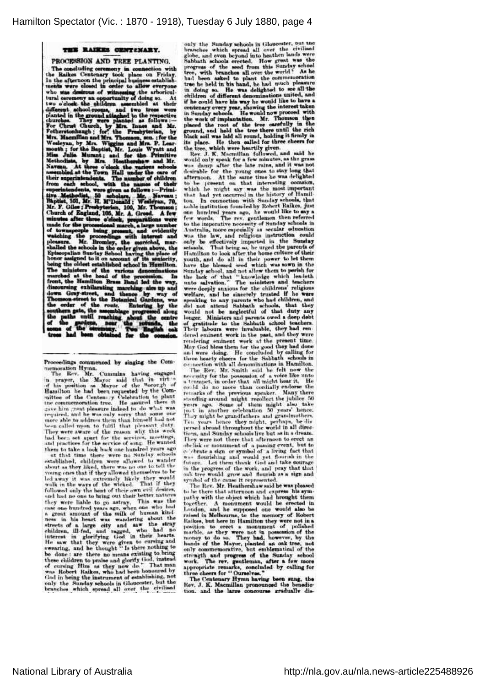## THE RAIKES CENTENARY.

THE COCYSSION AND TREE PLANTING.<br>
The considing ceremony in connection with<br>
the Rakes Centenary took place on Friday.<br>
In the steronom the principal business catabilish-<br>
In the steronom the principal business catabilish-PROCESSION AND TREE PLANTING. being the oldest established school in Hamilton.<br>The ministers of the various denominations marehol at the head of the procession. In<br>final fact the desired from the final distribution income front, the Hamilton Brass Band

Proceedings commenced by singing the Com-

Proceedings commenced by singing the Commentation Hymn.<br>The Bers. Mr. Cummins having engaged in prayer, the Mayor anid that in virtual<br>of his pesition as Mayor of the Borough of<br>Flamilton he had been requested by the Comme

them to take a took may one fundational and that time there were no Sunday schools<br>established, children were allowed to wander<br>about as they liked, there was no one to tell the<br>young ones that if they allowed themselves t being one that it was extremely likely they would<br>belaway it was extremely likely they would<br>walk in the ways of the wicked. That if they<br>followed only the bent of their own evil desires. warit in the ways of the worder. This was the best of their own evid desires, and had no one to bring out their better natures they were liable to go astray. This was the case of a great amount of the milk of buman kind ne

only the Sunday schools in Gloucester, out the branches which syred all over the civiliaed alobe, and even beyond into heathen lands were Sabbath schools sected. How great was the progress of the seed from this Sunday scho buck soil was man an round, northern the place. He then called for three cheers for the tree, which were heartily given.<br>Rev. J. K. Macmillan followed, and said he

would only speak for a few minutes, as the grass<br>was damp after the late rains, and it was not was damp after the late rains, and it was not desirable for the young ones to stay long that afternoon. At the same time he was delighted to be present on that interesting occasion, which he might say was the most importan ton. In connection with Sunday schools, that<br>took in connection with Sunday schools, that<br>note in<br>moired years ago, be would like to any a<br>one homely scars ago, the word Reference<br>of Sunday schools in<br>Awarmin, more separa

connection with all denominations in Hamilton. The Rev, Mr. Smith said the felt now the necesity for the possession of a voice like unto a temper, in order that all might bear it. He could do no more than cordially endors shellik or monument of a passing event, but to<br>celebrate a sign or symbol of a living fact that<br>celebrate a sign or symbol of a living fact that<br>was flourishing and would yet flourish in the<br>future. Let them thank God and in the progress of the work, and pray that that on's tree would grow and flourish as a sign and symbol of the cause it represented. The Rev. Mr. Heathershaw said he was pleased

to be there that atternoon and express his sym-<br>pathy with the object which had brought them together. A monument would be erected in London, and he supposed one would also be London, and he supposed one would also be<br>raised in Melbourne, to the nemory of Robert<br>Raikes, but here in Hamilton they were not in a<br>position to erect a monument of poliched<br>marble, as they were not in possession of the<br>

appropriate remarks, concluded by calling for<br>three cheers for "Ourselvas."<br>The Centenary Hymn having been sung, the<br>Rev. J. K. Macmillan pronounced the benedic-<br>tion, and the large concourse gradually dis-